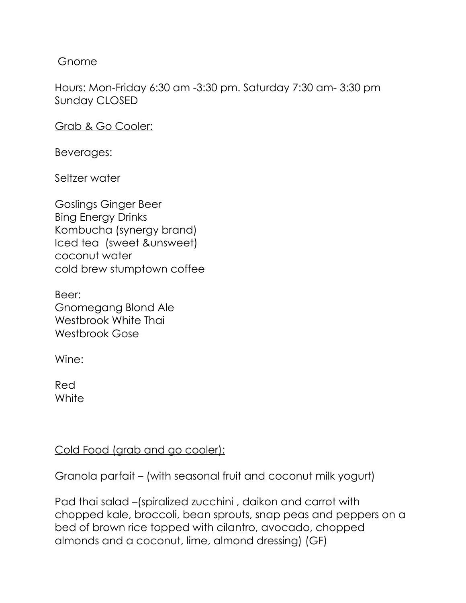Gnome

Hours: Mon-Friday 6:30 am -3:30 pm. Saturday 7:30 am- 3:30 pm Sunday CLOSED

Grab & Go Cooler:

Beverages:

Seltzer water

Goslings Ginger Beer Bing Energy Drinks Kombucha (synergy brand) Iced tea (sweet &unsweet) coconut water cold brew stumptown coffee

Beer: Gnomegang Blond Ale Westbrook White Thai Westbrook Gose

Wine:

Red **White** 

Cold Food (grab and go cooler):

Granola parfait – (with seasonal fruit and coconut milk yogurt)

Pad thai salad –(spiralized zucchini , daikon and carrot with chopped kale, broccoli, bean sprouts, snap peas and peppers on a bed of brown rice topped with cilantro, avocado, chopped almonds and a coconut, lime, almond dressing) (GF)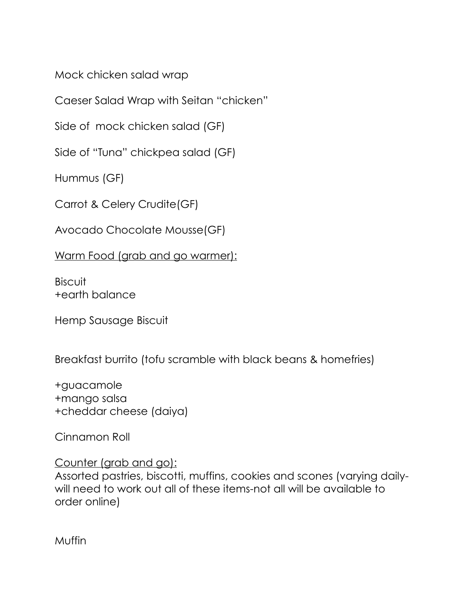Mock chicken salad wrap

Caeser Salad Wrap with Seitan "chicken"

Side of mock chicken salad (GF)

Side of "Tuna" chickpea salad (GF)

Hummus (GF)

Carrot & Celery Crudite(GF)

Avocado Chocolate Mousse(GF)

Warm Food (grab and go warmer):

**Biscuit** +earth balance

Hemp Sausage Biscuit

Breakfast burrito (tofu scramble with black beans & homefries)

+guacamole +mango salsa +cheddar cheese (daiya)

Cinnamon Roll

Counter (grab and go):

Assorted pastries, biscotti, muffins, cookies and scones (varying dailywill need to work out all of these items-not all will be available to order online)

Muffin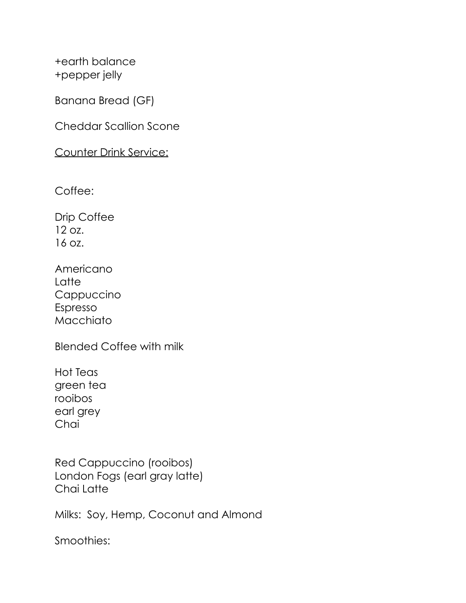+earth balance +pepper jelly

Banana Bread (GF)

Cheddar Scallion Scone

Counter Drink Service:

Coffee:

Drip Coffee 12 oz. 16 oz.

Americano **Latte** Cappuccino Espresso Macchiato

Blended Coffee with milk

Hot Teas green tea rooibos earl grey **Chai** 

Red Cappuccino (rooibos) London Fogs (earl gray latte) Chai Latte

Milks: Soy, Hemp, Coconut and Almond

Smoothies: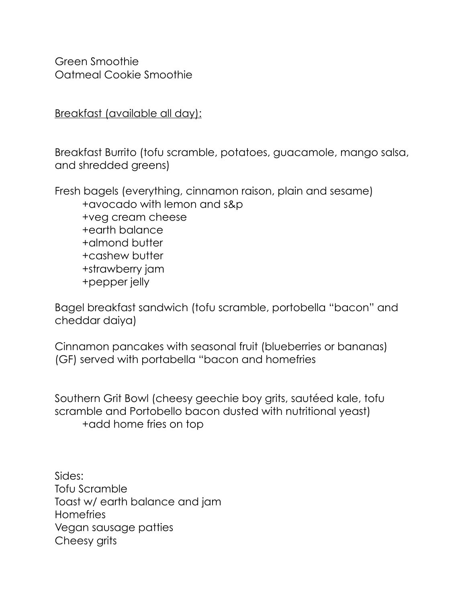Green Smoothie Oatmeal Cookie Smoothie

Breakfast (available all day):

Breakfast Burrito (tofu scramble, potatoes, guacamole, mango salsa, and shredded greens)

Fresh bagels (everything, cinnamon raison, plain and sesame) +avocado with lemon and s&p +veg cream cheese +earth balance +almond butter +cashew butter +strawberry jam +pepper jelly

Bagel breakfast sandwich (tofu scramble, portobella "bacon" and cheddar daiya)

Cinnamon pancakes with seasonal fruit (blueberries or bananas) (GF) served with portabella "bacon and homefries

Southern Grit Bowl (cheesy geechie boy grits, sautéed kale, tofu scramble and Portobello bacon dusted with nutritional yeast) +add home fries on top

Sides: Tofu Scramble Toast w/ earth balance and jam **Homefries** Vegan sausage patties Cheesy grits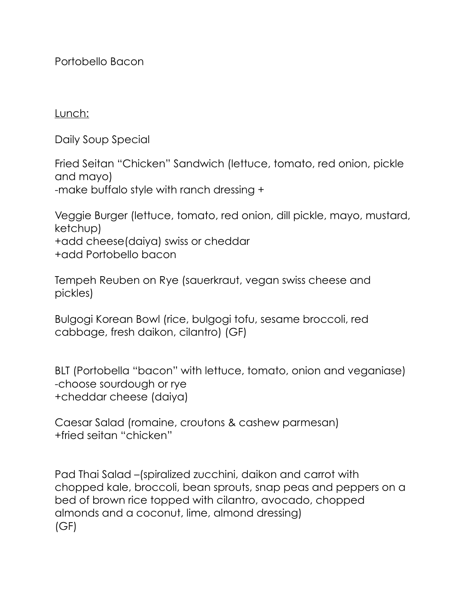Portobello Bacon

Lunch:

Daily Soup Special

Fried Seitan "Chicken" Sandwich (lettuce, tomato, red onion, pickle and mayo) -make buffalo style with ranch dressing +

Veggie Burger (lettuce, tomato, red onion, dill pickle, mayo, mustard, ketchup) +add cheese(daiya) swiss or cheddar +add Portobello bacon

Tempeh Reuben on Rye (sauerkraut, vegan swiss cheese and pickles)

Bulgogi Korean Bowl (rice, bulgogi tofu, sesame broccoli, red cabbage, fresh daikon, cilantro) (GF)

BLT (Portobella "bacon" with lettuce, tomato, onion and veganiase) -choose sourdough or rye +cheddar cheese (daiya)

Caesar Salad (romaine, croutons & cashew parmesan) +fried seitan "chicken"

Pad Thai Salad –(spiralized zucchini, daikon and carrot with chopped kale, broccoli, bean sprouts, snap peas and peppers on a bed of brown rice topped with cilantro, avocado, chopped almonds and a coconut, lime, almond dressing) (GF)